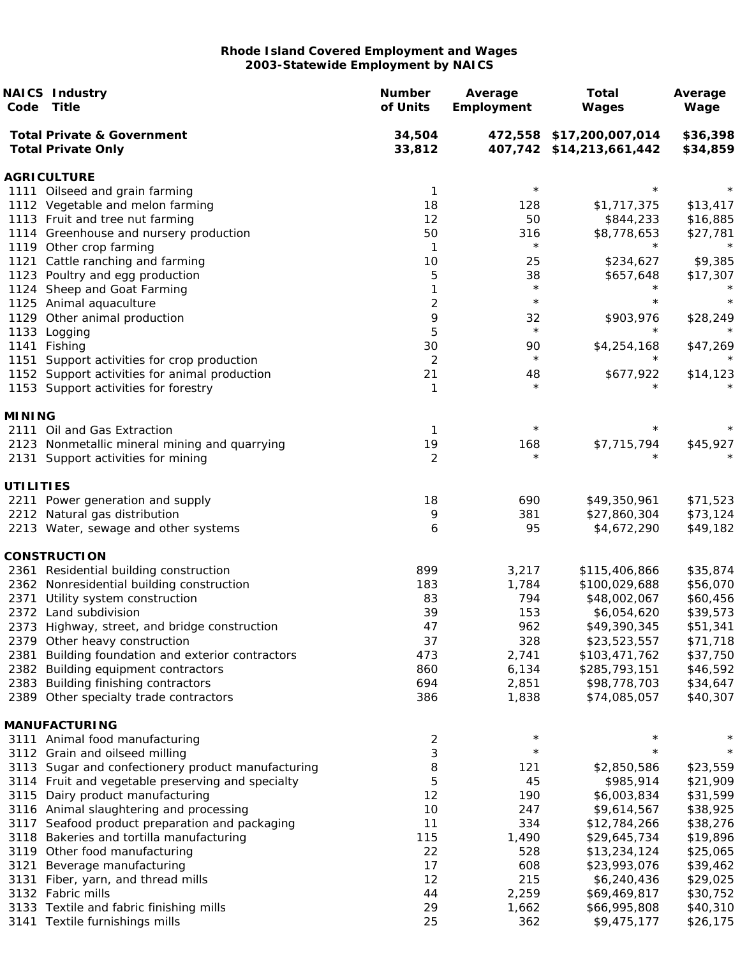| Code             | <b>NAICS Industry</b><br><b>Title</b>                              | <b>Number</b><br>of Units | Average<br>Employment | <b>Total</b><br>Wages                                | Average<br>Wage      |
|------------------|--------------------------------------------------------------------|---------------------------|-----------------------|------------------------------------------------------|----------------------|
|                  | <b>Total Private &amp; Government</b><br><b>Total Private Only</b> | 34,504<br>33,812          |                       | 472,558 \$17,200,007,014<br>407,742 \$14,213,661,442 | \$36,398<br>\$34,859 |
|                  | <b>AGRICULTURE</b>                                                 |                           |                       |                                                      |                      |
|                  | 1111 Oilseed and grain farming                                     | 1                         | $\star$               |                                                      |                      |
|                  | 1112 Vegetable and melon farming                                   | 18                        | 128                   | \$1,717,375                                          | \$13,417             |
|                  | 1113 Fruit and tree nut farming                                    | 12                        | 50                    | \$844,233                                            | \$16,885             |
|                  | 1114 Greenhouse and nursery production                             | 50                        | 316                   | \$8,778,653                                          | \$27,781             |
|                  | 1119 Other crop farming                                            | 1                         | $\star$               | $^\star$                                             |                      |
|                  | 1121 Cattle ranching and farming                                   | 10                        | 25                    | \$234,627                                            | \$9,385              |
|                  | 1123 Poultry and egg production                                    | 5                         | 38                    | \$657,648                                            | \$17,307             |
|                  | 1124 Sheep and Goat Farming                                        | 1                         | $\star$               | $^\star$                                             | $\star$              |
|                  | 1125 Animal aquaculture                                            | $\overline{\mathbf{c}}$   | $\star$               | $^\star$                                             | $\star$              |
|                  | 1129 Other animal production                                       | 9                         | 32                    | \$903,976                                            | \$28,249             |
|                  | 1133 Logging                                                       | 5                         | $\star$               | $\star$                                              | $\star$              |
|                  | 1141 Fishing                                                       | 30                        | 90                    | \$4,254,168                                          | \$47,269             |
|                  | 1151 Support activities for crop production                        | $\overline{c}$            | $^\star$              | $^\star$                                             | $\star$              |
|                  | 1152 Support activities for animal production                      | 21                        | 48                    | \$677,922                                            | \$14,123             |
|                  | 1153 Support activities for forestry                               | 1                         | $\star$               |                                                      |                      |
| <b>MINING</b>    |                                                                    |                           |                       |                                                      |                      |
|                  | 2111 Oil and Gas Extraction                                        | 1                         | $\star$               | $^\star$                                             |                      |
|                  | 2123 Nonmetallic mineral mining and quarrying                      | 19                        | 168                   | \$7,715,794                                          | \$45,927             |
|                  | 2131 Support activities for mining                                 | 2                         | $\star$               |                                                      |                      |
| <b>UTILITIES</b> |                                                                    |                           |                       |                                                      |                      |
|                  | 2211 Power generation and supply                                   | 18                        | 690                   | \$49,350,961                                         | \$71,523             |
|                  | 2212 Natural gas distribution                                      | 9                         | 381                   | \$27,860,304                                         | \$73,124             |
|                  | 2213 Water, sewage and other systems                               | 6                         | 95                    | \$4,672,290                                          | \$49,182             |
|                  | <b>CONSTRUCTION</b>                                                |                           |                       |                                                      |                      |
|                  | 2361 Residential building construction                             | 899                       | 3,217                 | \$115,406,866                                        | \$35,874             |
|                  | 2362 Nonresidential building construction                          | 183                       | 1,784                 | \$100,029,688                                        | \$56,070             |
|                  | 2371 Utility system construction                                   | 83                        | 794                   | \$48,002,067                                         | \$60,456             |
|                  | 2372 Land subdivision                                              | 39                        | 153                   | \$6,054,620                                          | \$39,573             |
|                  | 2373 Highway, street, and bridge construction                      | 47                        | 962                   | \$49,390,345                                         | \$51,341             |
|                  | 2379 Other heavy construction                                      | 37                        | 328                   | \$23,523,557                                         | \$71,718             |
| 2381             | Building foundation and exterior contractors                       | 473                       | 2,741                 | \$103,471,762                                        | \$37,750             |
|                  | 2382 Building equipment contractors                                | 860                       | 6,134                 | \$285,793,151                                        | \$46,592             |
|                  | 2383 Building finishing contractors                                | 694                       | 2,851                 | \$98,778,703                                         | \$34,647             |
|                  | 2389 Other specialty trade contractors                             | 386                       | 1,838                 | \$74,085,057                                         | \$40,307             |
|                  | <b>MANUFACTURING</b>                                               |                           |                       |                                                      |                      |
|                  | 3111 Animal food manufacturing                                     | 2                         | $\star$               | $^\star$                                             |                      |
|                  | 3112 Grain and oilseed milling                                     | 3                         | $\star$               | $\star$                                              | $\star$              |
|                  | 3113 Sugar and confectionery product manufacturing                 | 8                         | 121                   | \$2,850,586                                          | \$23,559             |
|                  | 3114 Fruit and vegetable preserving and specialty                  | 5                         | 45                    | \$985,914                                            | \$21,909             |
|                  | 3115 Dairy product manufacturing                                   | 12                        | 190                   | \$6,003,834                                          | \$31,599             |
|                  | 3116 Animal slaughtering and processing                            | 10                        | 247                   | \$9,614,567                                          | \$38,925             |
|                  | 3117 Seafood product preparation and packaging                     | 11                        | 334                   | \$12,784,266                                         | \$38,276             |
|                  | 3118 Bakeries and tortilla manufacturing                           | 115                       | 1,490                 | \$29,645,734                                         | \$19,896             |
|                  | 3119 Other food manufacturing                                      | 22                        | 528                   | \$13,234,124                                         | \$25,065             |
| 3121             | Beverage manufacturing                                             | 17                        | 608                   | \$23,993,076                                         | \$39,462             |
| 3131             | Fiber, yarn, and thread mills                                      | 12                        | 215                   | \$6,240,436                                          | \$29,025             |
|                  | 3132 Fabric mills                                                  | 44                        | 2,259                 | \$69,469,817                                         | \$30,752             |
|                  | 3133 Textile and fabric finishing mills                            | 29                        | 1,662                 | \$66,995,808                                         | \$40,310             |
|                  | 3141 Textile furnishings mills                                     | 25                        | 362                   | \$9,475,177                                          | \$26,175             |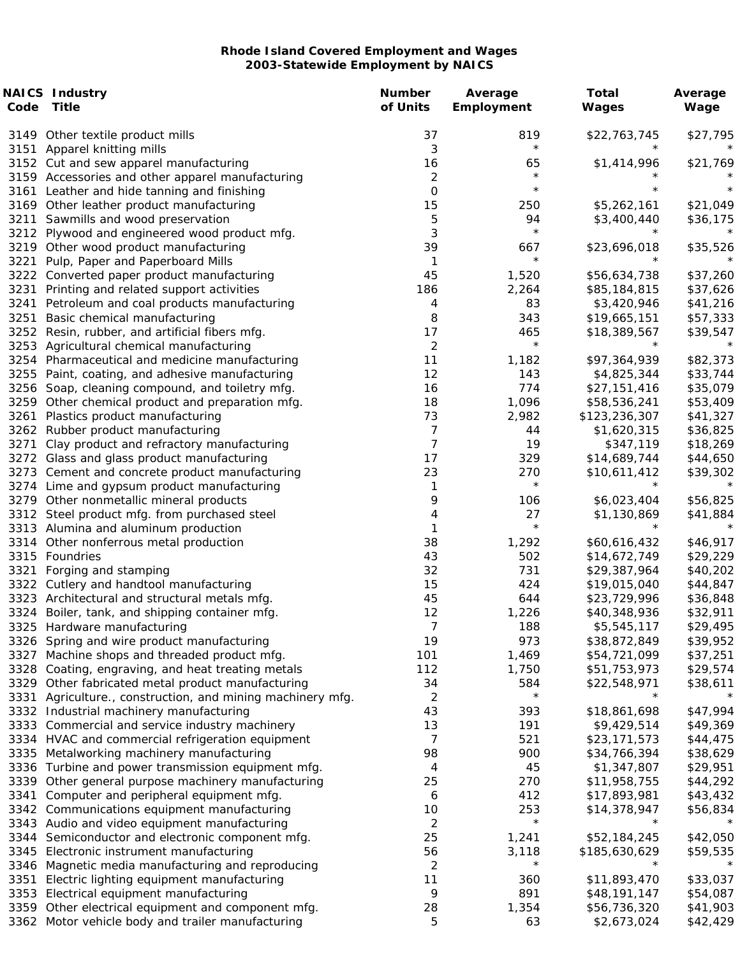|      | <b>NAICS Industry</b>                                 | <b>Number</b>  | Average    | <b>Total</b>  | Average  |
|------|-------------------------------------------------------|----------------|------------|---------------|----------|
|      | Code Title                                            | of Units       | Employment | Wages         | Wage     |
|      | 3149 Other textile product mills                      | 37             | 819        | \$22,763,745  | \$27,795 |
|      | 3151 Apparel knitting mills                           | 3              | $\star$    | $\star$       |          |
|      | 3152 Cut and sew apparel manufacturing                | 16             | 65         | \$1,414,996   | \$21,769 |
|      | 3159 Accessories and other apparel manufacturing      | 2              | $\star$    |               |          |
|      | 3161 Leather and hide tanning and finishing           | 0              | $\star$    |               |          |
|      | 3169 Other leather product manufacturing              | 15             | 250        | \$5,262,161   | \$21,049 |
| 3211 | Sawmills and wood preservation                        | 5              | 94         | \$3,400,440   | \$36,175 |
|      | 3212 Plywood and engineered wood product mfg.         | 3              | $\star$    | $^\star$      |          |
|      | 3219 Other wood product manufacturing                 | 39             | 667        | \$23,696,018  | \$35,526 |
| 3221 | Pulp, Paper and Paperboard Mills                      | 1              | $\star$    |               |          |
|      | 3222 Converted paper product manufacturing            | 45             | 1,520      | \$56,634,738  | \$37,260 |
| 3231 | Printing and related support activities               | 186            | 2,264      | \$85,184,815  | \$37,626 |
| 3241 | Petroleum and coal products manufacturing             | 4              | 83         | \$3,420,946   | \$41,216 |
| 3251 | Basic chemical manufacturing                          | 8              | 343        | \$19,665,151  | \$57,333 |
|      | 3252 Resin, rubber, and artificial fibers mfg.        | 17             | 465        | \$18,389,567  | \$39,547 |
|      | 3253 Agricultural chemical manufacturing              | $\overline{2}$ | $\star$    | $^\star$      |          |
|      | 3254 Pharmaceutical and medicine manufacturing        | 11             | 1,182      | \$97,364,939  | \$82,373 |
|      | 3255 Paint, coating, and adhesive manufacturing       | 12             | 143        | \$4,825,344   | \$33,744 |
|      | 3256 Soap, cleaning compound, and toiletry mfg.       | 16             | 774        | \$27,151,416  | \$35,079 |
|      | 3259 Other chemical product and preparation mfg.      | 18             | 1,096      | \$58,536,241  | \$53,409 |
| 3261 | Plastics product manufacturing                        | 73             | 2,982      | \$123,236,307 | \$41,327 |
|      | 3262 Rubber product manufacturing                     | 7              | 44         | \$1,620,315   | \$36,825 |
| 3271 | Clay product and refractory manufacturing             | 7              | 19         | \$347,119     | \$18,269 |
|      | 3272 Glass and glass product manufacturing            | 17             | 329        | \$14,689,744  | \$44,650 |
|      | 3273 Cement and concrete product manufacturing        | 23             | 270        | \$10,611,412  | \$39,302 |
|      | 3274 Lime and gypsum product manufacturing            | 1              | $\star$    |               |          |
|      | 3279 Other nonmetallic mineral products               | 9              | 106        | \$6,023,404   | \$56,825 |
|      | 3312 Steel product mfg. from purchased steel          | 4              | 27         | \$1,130,869   | \$41,884 |
|      | 3313 Alumina and aluminum production                  | 1              | $\star$    | $^\star$      |          |
|      | 3314 Other nonferrous metal production                | 38             | 1,292      | \$60,616,432  | \$46,917 |
|      | 3315 Foundries                                        | 43             | 502        | \$14,672,749  | \$29,229 |
| 3321 | Forging and stamping                                  | 32             | 731        | \$29,387,964  | \$40,202 |
|      | 3322 Cutlery and handtool manufacturing               | 15             | 424        | \$19,015,040  | \$44,847 |
|      | 3323 Architectural and structural metals mfg.         | 45             | 644        | \$23,729,996  | \$36,848 |
|      | 3324 Boiler, tank, and shipping container mfg.        | 12             | 1,226      | \$40,348,936  | \$32,911 |
|      | 3325 Hardware manufacturing                           | 7              | 188        | \$5,545,117   | \$29,495 |
|      | 3326 Spring and wire product manufacturing            | 19             | 973        | \$38,872,849  | \$39,952 |
|      | 3327 Machine shops and threaded product mfg.          | 101            | 1,469      | \$54,721,099  | \$37,251 |
|      | 3328 Coating, engraving, and heat treating metals     | 112            | 1,750      | \$51,753,973  | \$29,574 |
|      | 3329 Other fabricated metal product manufacturing     | 34             | 584        | \$22,548,971  | \$38,611 |
| 3331 | Agriculture., construction, and mining machinery mfg. | 2              | $\star$    | $^\star$      |          |
|      | 3332 Industrial machinery manufacturing               | 43             | 393        | \$18,861,698  | \$47,994 |
|      | 3333 Commercial and service industry machinery        | 13             | 191        | \$9,429,514   | \$49,369 |
|      | 3334 HVAC and commercial refrigeration equipment      | 7              | 521        | \$23,171,573  | \$44,475 |
|      | 3335 Metalworking machinery manufacturing             | 98             | 900        | \$34,766,394  | \$38,629 |
|      | 3336 Turbine and power transmission equipment mfg.    | 4              | 45         | \$1,347,807   | \$29,951 |
| 3339 | Other general purpose machinery manufacturing         | 25             | 270        | \$11,958,755  | \$44,292 |
| 3341 | Computer and peripheral equipment mfg.                | 6              | 412        | \$17,893,981  | \$43,432 |
| 3342 | Communications equipment manufacturing                | 10             | 253        | \$14,378,947  | \$56,834 |
|      | 3343 Audio and video equipment manufacturing          | 2              | $\star$    | $^\star$      |          |
| 3344 | Semiconductor and electronic component mfg.           | 25             | 1,241      | \$52,184,245  | \$42,050 |
| 3345 | Electronic instrument manufacturing                   | 56             | 3,118      | \$185,630,629 | \$59,535 |
|      | 3346 Magnetic media manufacturing and reproducing     | $\overline{c}$ | $\star$    | $^\star$      |          |
| 3351 | Electric lighting equipment manufacturing             | 11             | 360        | \$11,893,470  | \$33,037 |
|      | 3353 Electrical equipment manufacturing               | 9              | 891        | \$48,191,147  | \$54,087 |
|      | 3359 Other electrical equipment and component mfg.    | 28             | 1,354      | \$56,736,320  | \$41,903 |
|      | 3362 Motor vehicle body and trailer manufacturing     | 5              | 63         | \$2,673,024   | \$42,429 |
|      |                                                       |                |            |               |          |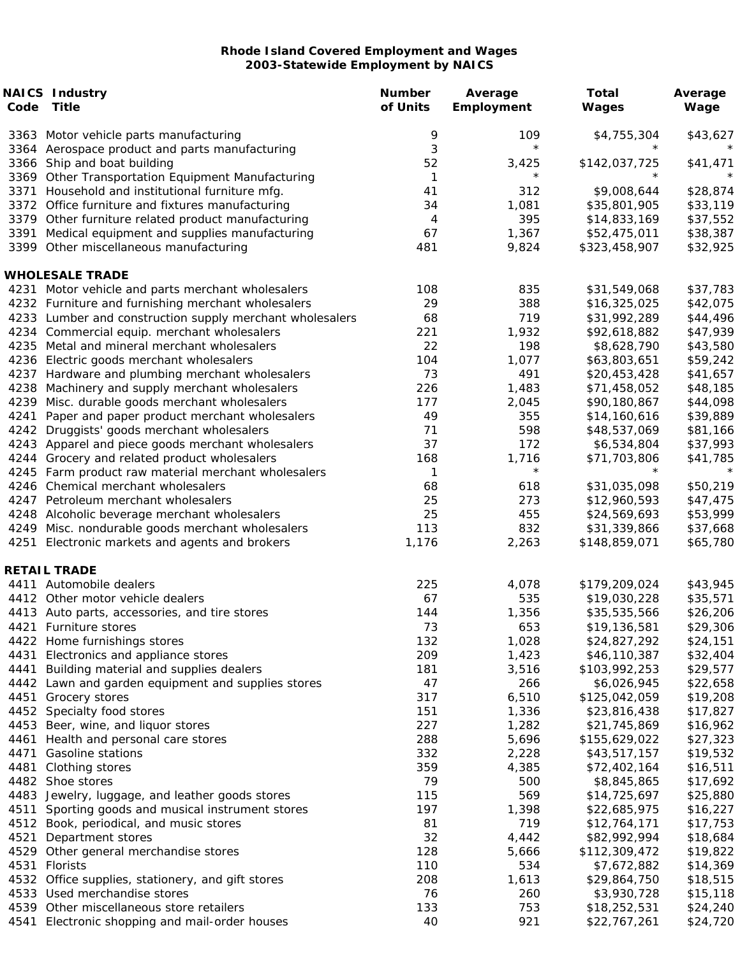| Code | <b>NAICS Industry</b><br>Title                           | <b>Number</b><br>of Units | Average<br>Employment | Total<br>Wages | Average<br>Wage |
|------|----------------------------------------------------------|---------------------------|-----------------------|----------------|-----------------|
|      | 3363 Motor vehicle parts manufacturing                   | 9                         | 109                   | \$4,755,304    | \$43,627        |
|      | 3364 Aerospace product and parts manufacturing           | 3                         | $\star$               |                | $\star$         |
|      | 3366 Ship and boat building                              | 52                        | 3,425                 | \$142,037,725  | \$41,471        |
|      | 3369 Other Transportation Equipment Manufacturing        | $\mathbf{1}$              | $^\star$              | $\star$        | $\star$         |
| 3371 | Household and institutional furniture mfg.               | 41                        | 312                   | \$9,008,644    | \$28,874        |
|      | 3372 Office furniture and fixtures manufacturing         | 34                        | 1,081                 | \$35,801,905   | \$33,119        |
|      | 3379 Other furniture related product manufacturing       | 4                         | 395                   | \$14,833,169   | \$37,552        |
| 3391 | Medical equipment and supplies manufacturing             | 67                        | 1,367                 | \$52,475,011   | \$38,387        |
|      | 3399 Other miscellaneous manufacturing                   | 481                       | 9,824                 | \$323,458,907  | \$32,925        |
|      | <b>WHOLESALE TRADE</b>                                   |                           |                       |                |                 |
|      | 4231 Motor vehicle and parts merchant wholesalers        | 108                       | 835                   | \$31,549,068   | \$37,783        |
|      | 4232 Furniture and furnishing merchant wholesalers       | 29                        | 388                   | \$16,325,025   | \$42,075        |
|      | 4233 Lumber and construction supply merchant wholesalers | 68                        | 719                   | \$31,992,289   | \$44,496        |
|      | 4234 Commercial equip. merchant wholesalers              | 221                       | 1,932                 | \$92,618,882   | \$47,939        |
|      | 4235 Metal and mineral merchant wholesalers              | 22                        | 198                   | \$8,628,790    | \$43,580        |
|      | 4236 Electric goods merchant wholesalers                 | 104                       | 1,077                 | \$63,803,651   | \$59,242        |
|      | 4237 Hardware and plumbing merchant wholesalers          | 73                        | 491                   | \$20,453,428   | \$41,657        |
|      | 4238 Machinery and supply merchant wholesalers           | 226                       | 1,483                 | \$71,458,052   | \$48,185        |
|      | 4239 Misc. durable goods merchant wholesalers            | 177                       | 2,045                 | \$90,180,867   | \$44,098        |
| 4241 | Paper and paper product merchant wholesalers             | 49                        | 355                   | \$14,160,616   | \$39,889        |
| 4242 | Druggists' goods merchant wholesalers                    | 71                        | 598                   | \$48,537,069   | \$81,166        |
|      | 4243 Apparel and piece goods merchant wholesalers        | 37                        | 172                   | \$6,534,804    | \$37,993        |
|      | 4244 Grocery and related product wholesalers             | 168                       | 1,716                 | \$71,703,806   | \$41,785        |
|      | 4245 Farm product raw material merchant wholesalers      | 1                         | $\star$               | $^\star$       |                 |
|      | 4246 Chemical merchant wholesalers                       | 68                        | 618                   | \$31,035,098   | \$50,219        |
|      | 4247 Petroleum merchant wholesalers                      | 25                        | 273                   | \$12,960,593   | \$47,475        |
|      | 4248 Alcoholic beverage merchant wholesalers             | 25                        | 455                   | \$24,569,693   | \$53,999        |
|      | 4249 Misc. nondurable goods merchant wholesalers         | 113                       | 832                   | \$31,339,866   | \$37,668        |
|      | 4251 Electronic markets and agents and brokers           | 1,176                     | 2,263                 | \$148,859,071  | \$65,780        |
|      | <b>RETAIL TRADE</b>                                      |                           |                       |                |                 |
|      | 4411 Automobile dealers                                  | 225                       | 4,078                 | \$179,209,024  | \$43,945        |
|      | 4412 Other motor vehicle dealers                         | 67                        | 535                   | \$19,030,228   | \$35,571        |
|      | 4413 Auto parts, accessories, and tire stores            | 144                       | 1,356                 | \$35,535,566   | \$26,206        |
|      | 4421 Furniture stores                                    | 73                        | 653                   | \$19,136,581   | \$29,306        |
|      | 4422 Home furnishings stores                             | 132                       | 1,028                 | \$24,827,292   | \$24,151        |
|      | 4431 Electronics and appliance stores                    | 209                       | 1,423                 | \$46,110,387   | \$32,404        |
| 4441 | Building material and supplies dealers                   | 181                       | 3,516                 | \$103,992,253  | \$29,577        |
| 4442 | Lawn and garden equipment and supplies stores            | 47                        | 266                   | \$6,026,945    | \$22,658        |
| 4451 | Grocery stores                                           | 317                       | 6,510                 | \$125,042,059  | \$19,208        |
|      | 4452 Specialty food stores                               | 151                       | 1,336                 | \$23,816,438   | \$17,827        |
|      | 4453 Beer, wine, and liquor stores                       | 227                       | 1,282                 | \$21,745,869   | \$16,962        |
|      | 4461 Health and personal care stores                     | 288                       | 5,696                 | \$155,629,022  | \$27,323        |
|      | 4471 Gasoline stations                                   | 332                       | 2,228                 | \$43,517,157   | \$19,532        |
| 4481 | Clothing stores                                          | 359                       | 4,385                 | \$72,402,164   | \$16,511        |
|      | 4482 Shoe stores                                         | 79                        | 500                   | \$8,845,865    | \$17,692        |
| 4483 | Jewelry, luggage, and leather goods stores               | 115                       | 569                   | \$14,725,697   | \$25,880        |
| 4511 | Sporting goods and musical instrument stores             | 197                       | 1,398                 | \$22,685,975   | \$16,227        |
|      | 4512 Book, periodical, and music stores                  | 81                        | 719                   | \$12,764,171   | \$17,753        |
| 4521 | Department stores                                        | 32                        | 4,442                 | \$82,992,994   | \$18,684        |
| 4529 | Other general merchandise stores                         | 128                       | 5,666                 | \$112,309,472  | \$19,822        |
|      | 4531 Florists                                            | 110                       | 534                   | \$7,672,882    | \$14,369        |
|      | 4532 Office supplies, stationery, and gift stores        | 208                       | 1,613                 | \$29,864,750   | \$18,515        |
|      | 4533 Used merchandise stores                             | 76                        | 260                   | \$3,930,728    | \$15,118        |
|      | 4539 Other miscellaneous store retailers                 | 133                       | 753                   | \$18,252,531   | \$24,240        |
|      | 4541 Electronic shopping and mail-order houses           | 40                        | 921                   | \$22,767,261   | \$24,720        |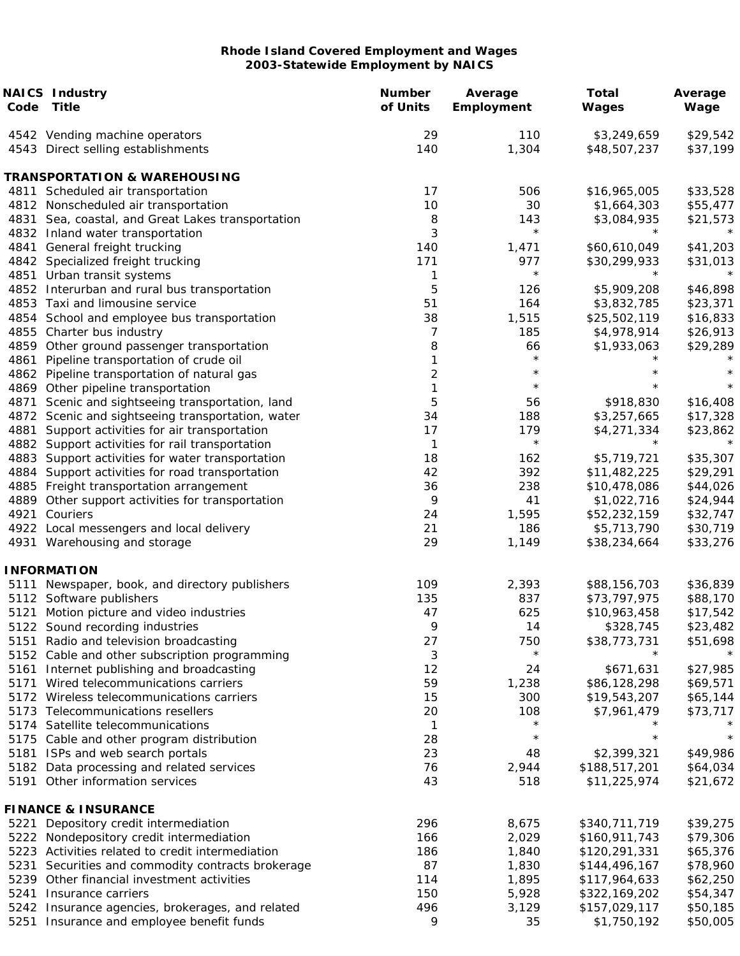|      | <b>NAICS Industry</b>                                                                               | <b>Number</b>  | Average        | <b>Total</b>            | Average  |
|------|-----------------------------------------------------------------------------------------------------|----------------|----------------|-------------------------|----------|
| Code | <b>Title</b>                                                                                        | of Units       | Employment     | Wages                   | Wage     |
|      | 4542 Vending machine operators                                                                      | 29             | 110            | \$3,249,659             | \$29,542 |
|      | 4543 Direct selling establishments                                                                  | 140            | 1,304          | \$48,507,237            | \$37,199 |
|      | <b>TRANSPORTATION &amp; WAREHOUSING</b>                                                             |                |                |                         |          |
|      | 4811 Scheduled air transportation                                                                   | 17             | 506            | \$16,965,005            | \$33,528 |
|      | 4812 Nonscheduled air transportation                                                                | 10             | 30             | \$1,664,303             | \$55,477 |
|      | 4831 Sea, coastal, and Great Lakes transportation                                                   | 8              | 143            | \$3,084,935             | \$21,573 |
|      | 4832 Inland water transportation                                                                    | 3              | $\star$        | $^\star$                |          |
|      | 4841 General freight trucking                                                                       | 140            | 1,471          | \$60,610,049            | \$41,203 |
|      | 4842 Specialized freight trucking                                                                   | 171            | 977            | \$30,299,933            | \$31,013 |
|      | 4851 Urban transit systems                                                                          | 1              | $\star$        | $^\star$                |          |
|      | 4852 Interurban and rural bus transportation                                                        | 5              | 126            | \$5,909,208             | \$46,898 |
|      | 4853 Taxi and limousine service                                                                     | 51             | 164            | \$3,832,785             | \$23,371 |
|      | 4854 School and employee bus transportation                                                         | 38             | 1,515          | \$25,502,119            | \$16,833 |
|      | 4855 Charter bus industry                                                                           | 7              | 185            | \$4,978,914             | \$26,913 |
|      | 4859 Other ground passenger transportation                                                          | 8              | 66<br>$\star$  | \$1,933,063             | \$29,289 |
| 4861 | Pipeline transportation of crude oil                                                                | $\mathbf{1}$   | $\star$        | $^\star$<br>$^\star$    | $\star$  |
|      | 4862 Pipeline transportation of natural gas                                                         | $\overline{c}$ | $\star$        | $^\star$                | $\star$  |
|      | 4869 Other pipeline transportation                                                                  | $\mathbf{1}$   |                |                         |          |
|      | 4871 Scenic and sightseeing transportation, land                                                    | 5              | 56             | \$918,830               | \$16,408 |
|      | 4872 Scenic and sightseeing transportation, water                                                   | 34             | 188            | \$3,257,665             | \$17,328 |
| 4881 | Support activities for air transportation                                                           | 17             | 179<br>$\star$ | \$4,271,334<br>$^\star$ | \$23,862 |
|      | 4882 Support activities for rail transportation                                                     | 1<br>18        | 162            | \$5,719,721             | \$35,307 |
|      | 4883 Support activities for water transportation<br>4884 Support activities for road transportation | 42             | 392            | \$11,482,225            | \$29,291 |
|      | 4885 Freight transportation arrangement                                                             | 36             | 238            | \$10,478,086            | \$44,026 |
|      | 4889 Other support activities for transportation                                                    | 9              | 41             | \$1,022,716             | \$24,944 |
|      | 4921 Couriers                                                                                       | 24             | 1,595          | \$52,232,159            | \$32,747 |
|      | 4922 Local messengers and local delivery                                                            | 21             | 186            | \$5,713,790             | \$30,719 |
|      | 4931 Warehousing and storage                                                                        | 29             | 1,149          | \$38,234,664            | \$33,276 |
|      | <b>INFORMATION</b>                                                                                  |                |                |                         |          |
|      | 5111 Newspaper, book, and directory publishers                                                      | 109            | 2,393          | \$88,156,703            | \$36,839 |
|      | 5112 Software publishers                                                                            | 135            | 837            | \$73,797,975            | \$88,170 |
|      | 5121 Motion picture and video industries                                                            | 47             | 625            | \$10,963,458            | \$17,542 |
|      | 5122 Sound recording industries                                                                     | 9              | 14             | \$328,745               | \$23,482 |
|      | 5151 Radio and television broadcasting                                                              | 27             | 750            | \$38,773,731            | \$51,698 |
|      | 5152 Cable and other subscription programming                                                       | 3              | $\star$        | $^\star$                |          |
|      | 5161 Internet publishing and broadcasting                                                           | 12             | 24             | \$671,631               | \$27,985 |
|      | 5171 Wired telecommunications carriers                                                              | 59             | 1,238          | \$86,128,298            | \$69,571 |
|      | 5172 Wireless telecommunications carriers                                                           | 15             | 300            | \$19,543,207            | \$65,144 |
|      | 5173 Telecommunications resellers                                                                   | 20             | 108            | \$7,961,479             | \$73,717 |
|      | 5174 Satellite telecommunications                                                                   | 1              | $^\star$       | $^\star$                |          |
|      | 5175 Cable and other program distribution                                                           | 28             | $\star$        | $^\star$                | $\star$  |
|      | 5181 ISPs and web search portals                                                                    | 23             | 48             | \$2,399,321             | \$49,986 |
|      | 5182 Data processing and related services                                                           | 76             | 2,944          | \$188,517,201           | \$64,034 |
|      | 5191 Other information services                                                                     | 43             | 518            | \$11,225,974            | \$21,672 |
|      | <b>FINANCE &amp; INSURANCE</b>                                                                      |                |                |                         |          |
|      | 5221 Depository credit intermediation                                                               | 296            | 8,675          | \$340,711,719           | \$39,275 |
| 5222 | Nondepository credit intermediation                                                                 | 166            | 2,029          | \$160,911,743           | \$79,306 |
|      | 5223 Activities related to credit intermediation                                                    | 186            | 1,840          | \$120,291,331           | \$65,376 |
| 5231 | Securities and commodity contracts brokerage                                                        | 87             | 1,830          | \$144,496,167           | \$78,960 |
| 5239 | Other financial investment activities                                                               | 114            | 1,895          | \$117,964,633           | \$62,250 |
| 5241 | Insurance carriers                                                                                  | 150            | 5,928          | \$322,169,202           | \$54,347 |
|      | 5242 Insurance agencies, brokerages, and related                                                    | 496            | 3,129          | \$157,029,117           | \$50,185 |
|      | 5251 Insurance and employee benefit funds                                                           | 9              | 35             | \$1,750,192             | \$50,005 |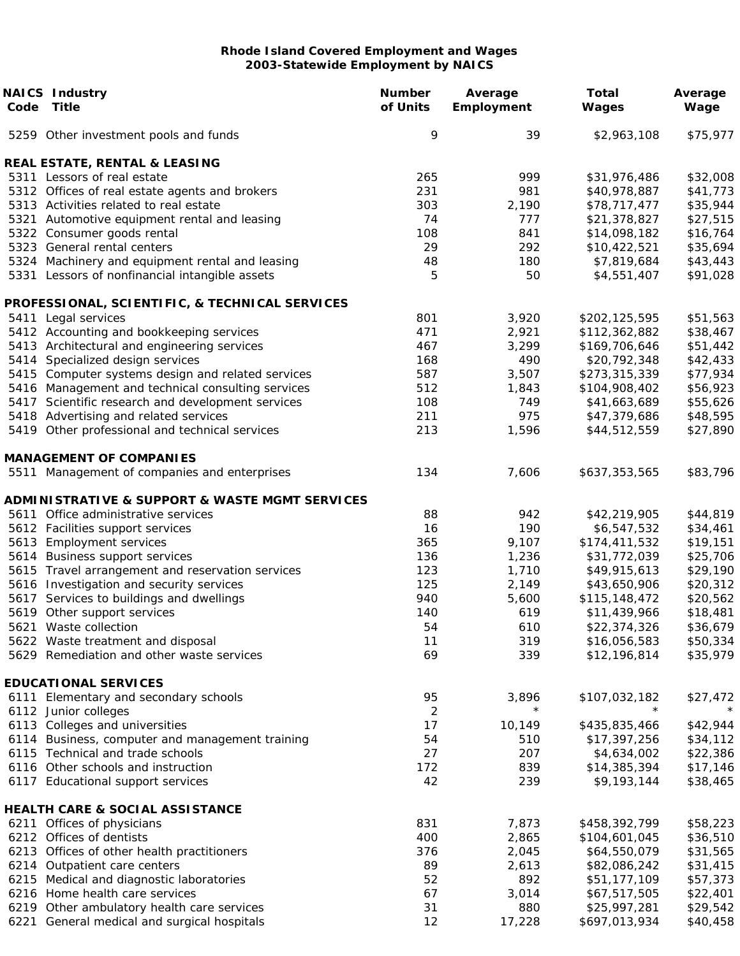| Code | <b>NAICS Industry</b><br>Title                                | <b>Number</b><br>of Units | Average<br>Employment | <b>Total</b><br>Wages | Average<br>Wage |
|------|---------------------------------------------------------------|---------------------------|-----------------------|-----------------------|-----------------|
|      | 5259 Other investment pools and funds                         | 9                         | 39                    | \$2,963,108           | \$75,977        |
|      | REAL ESTATE, RENTAL & LEASING                                 |                           |                       |                       |                 |
|      | 5311 Lessors of real estate                                   | 265                       | 999                   | \$31,976,486          | \$32,008        |
|      | 5312 Offices of real estate agents and brokers                | 231                       | 981                   | \$40,978,887          | \$41,773        |
|      | 5313 Activities related to real estate                        | 303                       | 2,190                 | \$78,717,477          | \$35,944        |
|      | 5321 Automotive equipment rental and leasing                  | 74                        | 777                   | \$21,378,827          | \$27,515        |
|      | 5322 Consumer goods rental                                    | 108                       | 841                   | \$14,098,182          | \$16,764        |
|      | 5323 General rental centers                                   | 29                        | 292                   | \$10,422,521          | \$35,694        |
|      | 5324 Machinery and equipment rental and leasing               | 48                        | 180                   | \$7,819,684           | \$43,443        |
|      | 5331 Lessors of nonfinancial intangible assets                | 5                         | 50                    | \$4,551,407           | \$91,028        |
|      | PROFESSIONAL, SCIENTIFIC, & TECHNICAL SERVICES                |                           |                       |                       |                 |
|      | 5411 Legal services                                           | 801                       | 3,920                 | \$202,125,595         | \$51,563        |
|      | 5412 Accounting and bookkeeping services                      | 471                       | 2,921                 | \$112,362,882         | \$38,467        |
|      | 5413 Architectural and engineering services                   | 467                       | 3,299                 | \$169,706,646         | \$51,442        |
|      | 5414 Specialized design services                              | 168                       | 490                   | \$20,792,348          | \$42,433        |
|      | 5415 Computer systems design and related services             | 587                       | 3,507                 | \$273,315,339         | \$77,934        |
|      | 5416 Management and technical consulting services             | 512                       | 1,843                 | \$104,908,402         | \$56,923        |
|      | 5417 Scientific research and development services             | 108                       | 749                   | \$41,663,689          | \$55,626        |
|      | 5418 Advertising and related services                         | 211                       | 975                   | \$47,379,686          | \$48,595        |
|      | 5419 Other professional and technical services                | 213                       | 1,596                 | \$44,512,559          | \$27,890        |
|      | <b>MANAGEMENT OF COMPANIES</b>                                |                           |                       |                       |                 |
|      | 5511 Management of companies and enterprises                  | 134                       | 7,606                 | \$637,353,565         | \$83,796        |
|      | <b>ADMINISTRATIVE &amp; SUPPORT &amp; WASTE MGMT SERVICES</b> |                           |                       |                       |                 |
|      | 5611 Office administrative services                           | 88                        | 942                   | \$42,219,905          | \$44,819        |
|      | 5612 Facilities support services                              | 16                        | 190                   | \$6,547,532           | \$34,461        |
|      | 5613 Employment services                                      | 365                       | 9,107                 | \$174,411,532         | \$19,151        |
|      | 5614 Business support services                                | 136                       | 1,236                 | \$31,772,039          | \$25,706        |
|      | 5615 Travel arrangement and reservation services              | 123                       | 1,710                 | \$49,915,613          | \$29,190        |
|      | 5616 Investigation and security services                      | 125                       | 2,149                 | \$43,650,906          | \$20,312        |
|      | 5617 Services to buildings and dwellings                      | 940                       | 5,600                 | \$115,148,472         | \$20,562        |
|      | 5619 Other support services                                   | 140                       | 619                   | \$11,439,966          | \$18,481        |
|      | 5621 Waste collection                                         | 54                        | 610                   | \$22,374,326          | \$36,679        |
|      | 5622 Waste treatment and disposal                             | 11                        | 319                   | \$16,056,583          | \$50,334        |
|      | 5629 Remediation and other waste services                     | 69                        | 339                   | \$12,196,814          | \$35,979        |
|      | <b>EDUCATIONAL SERVICES</b>                                   |                           |                       |                       |                 |
|      | 6111 Elementary and secondary schools                         | 95                        | 3,896                 | \$107,032,182         | \$27,472        |
|      | 6112 Junior colleges                                          | 2                         | $\star$               | $\star$               |                 |
|      | 6113 Colleges and universities                                | 17                        | 10,149                | \$435,835,466         | \$42,944        |
|      | 6114 Business, computer and management training               | 54                        | 510                   | \$17,397,256          | \$34,112        |
|      | 6115 Technical and trade schools                              | 27                        | 207                   | \$4,634,002           | \$22,386        |
|      | 6116 Other schools and instruction                            | 172                       | 839                   | \$14,385,394          | \$17,146        |
|      | 6117 Educational support services                             | 42                        | 239                   | \$9,193,144           | \$38,465        |
|      | <b>HEALTH CARE &amp; SOCIAL ASSISTANCE</b>                    |                           |                       |                       |                 |
|      | 6211 Offices of physicians                                    | 831                       | 7,873                 | \$458,392,799         | \$58,223        |
|      | 6212 Offices of dentists                                      | 400                       | 2,865                 | \$104,601,045         | \$36,510        |
|      | 6213 Offices of other health practitioners                    | 376                       | 2,045                 | \$64,550,079          | \$31,565        |
|      | 6214 Outpatient care centers                                  | 89                        | 2,613                 | \$82,086,242          | \$31,415        |
|      | 6215 Medical and diagnostic laboratories                      | 52                        | 892                   | \$51,177,109          | \$57,373        |
|      | 6216 Home health care services                                | 67                        | 3,014                 | \$67,517,505          | \$22,401        |
|      | 6219 Other ambulatory health care services                    | 31                        | 880                   | \$25,997,281          | \$29,542        |
|      | 6221 General medical and surgical hospitals                   | 12                        | 17,228                | \$697,013,934         | \$40,458        |